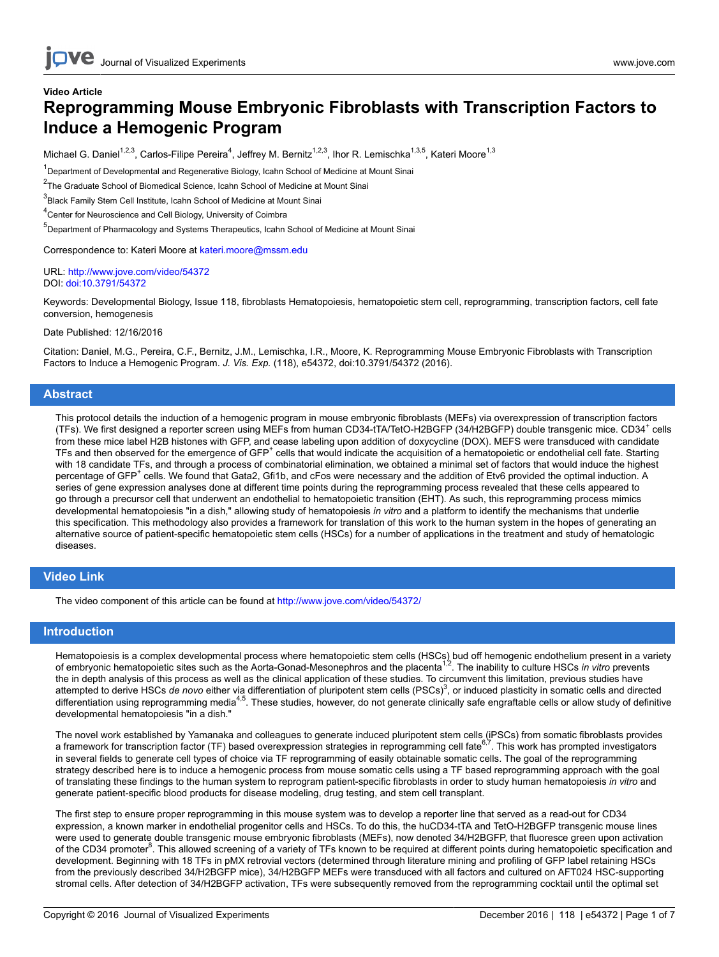## **Video Article Reprogramming Mouse Embryonic Fibroblasts with Transcription Factors to Induce a Hemogenic Program**

Michael G. Daniel<sup>1,2,3</sup>, Carlos-Filipe Pereira<sup>4</sup>, Jeffrey M. Bernitz<sup>1,2,3</sup>, Ihor R. Lemischka<sup>1,3,5</sup>, Kateri Moore<sup>1,3</sup>

<sup>1</sup>Department of Developmental and Regenerative Biology, Icahn School of Medicine at Mount Sinai

<sup>2</sup>The Graduate School of Biomedical Science, Icahn School of Medicine at Mount Sinai

<sup>3</sup>Black Family Stem Cell Institute, Icahn School of Medicine at Mount Sinai

<sup>4</sup> Center for Neuroscience and Cell Biology, University of Coimbra

5 Department of Pharmacology and Systems Therapeutics, Icahn School of Medicine at Mount Sinai

Correspondence to: Kateri Moore at [kateri.moore@mssm.edu](mailto:kateri.moore@mssm.edu)

URL:<http://www.jove.com/video/54372> DOI: [doi:10.3791/54372](http://dx.doi.org/10.3791/54372)

Keywords: Developmental Biology, Issue 118, fibroblasts Hematopoiesis, hematopoietic stem cell, reprogramming, transcription factors, cell fate conversion, hemogenesis

Date Published: 12/16/2016

Citation: Daniel, M.G., Pereira, C.F., Bernitz, J.M., Lemischka, I.R., Moore, K. Reprogramming Mouse Embryonic Fibroblasts with Transcription Factors to Induce a Hemogenic Program. *J. Vis. Exp.* (118), e54372, doi:10.3791/54372 (2016).

### **Abstract**

This protocol details the induction of a hemogenic program in mouse embryonic fibroblasts (MEFs) via overexpression of transcription factors (TFs). We first designed a reporter screen using MEFs from human CD34-tTA/TetO-H2BGFP (34/H2BGFP) double transgenic mice. CD34<sup>+</sup> cells from these mice label H2B histones with GFP, and cease labeling upon addition of doxycycline (DOX). MEFS were transduced with candidate TFs and then observed for the emergence of GFP<sup>+</sup> cells that would indicate the acquisition of a hematopoietic or endothelial cell fate. Starting with 18 candidate TFs, and through a process of combinatorial elimination, we obtained a minimal set of factors that would induce the highest percentage of GFP<sup>+</sup> cells. We found that Gata2, Gfi1b, and cFos were necessary and the addition of Etv6 provided the optimal induction. A series of gene expression analyses done at different time points during the reprogramming process revealed that these cells appeared to go through a precursor cell that underwent an endothelial to hematopoietic transition (EHT). As such, this reprogramming process mimics developmental hematopoiesis "in a dish," allowing study of hematopoiesis *in vitro* and a platform to identify the mechanisms that underlie this specification. This methodology also provides a framework for translation of this work to the human system in the hopes of generating an alternative source of patient-specific hematopoietic stem cells (HSCs) for a number of applications in the treatment and study of hematologic diseases.

### **Video Link**

The video component of this article can be found at <http://www.jove.com/video/54372/>

#### **Introduction**

Hematopoiesis is a complex developmental process where hematopoietic stem cells (HSCs) bud off hemogenic endothelium present in a variety<br>of embryonic hematopoietic sites such as the Aorta-Gonad-Mesonephros and the placent the in depth analysis of this process as well as the clinical application of these studies. To circumvent this limitation, previous studies have attempted to derive HSCs de novo either via differentiation of pluripotent stem cells (PSCs)<sup>3</sup>, or induced plasticity in somatic cells and directed differentiation using reprogramming media<sup>4,5</sup>. These studies, however, do not generate clinically safe engraftable cells or allow study of definitive developmental hematopoiesis "in a dish."

The novel work established by Yamanaka and colleagues to generate induced pluripotent stem cells (iPSCs) from somatic fibroblasts provides<br>a framework for transcription factor (TF) based overexpression strategies in reprog in several fields to generate cell types of choice via TF reprogramming of easily obtainable somatic cells. The goal of the reprogramming strategy described here is to induce a hemogenic process from mouse somatic cells using a TF based reprogramming approach with the goal of translating these findings to the human system to reprogram patient-specific fibroblasts in order to study human hematopoiesis *in vitro* and generate patient-specific blood products for disease modeling, drug testing, and stem cell transplant.

The first step to ensure proper reprogramming in this mouse system was to develop a reporter line that served as a read-out for CD34 expression, a known marker in endothelial progenitor cells and HSCs. To do this, the huCD34-tTA and TetO-H2BGFP transgenic mouse lines were used to generate double transgenic mouse embryonic fibroblasts (MEFs), now denoted 34/H2BGFP, that fluoresce green upon activation of the CD34 promoter<sup>8</sup>. This allowed screening of a variety of TFs known to be required at different points during hematopoietic specification and development. Beginning with 18 TFs in pMX retrovial vectors (determined through literature mining and profiling of GFP label retaining HSCs from the previously described 34/H2BGFP mice), 34/H2BGFP MEFs were transduced with all factors and cultured on AFT024 HSC-supporting stromal cells. After detection of 34/H2BGFP activation, TFs were subsequently removed from the reprogramming cocktail until the optimal set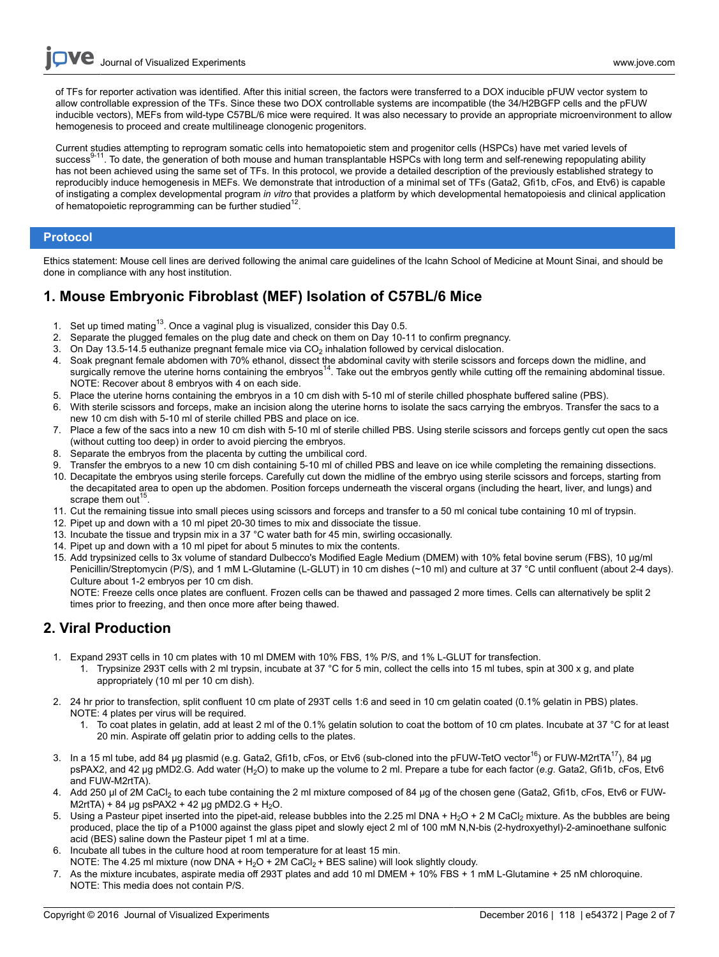**Ove** Journal of Visualized [Experiments](http://www.jove.com) [www.jove.com](http://www.jove.com)

of TFs for reporter activation was identified. After this initial screen, the factors were transferred to a DOX inducible pFUW vector system to allow controllable expression of the TFs. Since these two DOX controllable systems are incompatible (the 34/H2BGFP cells and the pFUW inducible vectors), MEFs from wild-type C57BL/6 mice were required. It was also necessary to provide an appropriate microenvironment to allow hemogenesis to proceed and create multilineage clonogenic progenitors.

Current studies attempting to reprogram somatic cells into hematopoietic stem and progenitor cells (HSPCs) have met varied levels of success<sup>9-11</sup>. To date, the generation of both mouse and human transplantable HSPCs with long term and self-renewing repopulating ability has not been achieved using the same set of TFs. In this protocol, we provide a detailed description of the previously established strategy to reproducibly induce hemogenesis in MEFs. We demonstrate that introduction of a minimal set of TFs (Gata2, Gfi1b, cFos, and Etv6) is capable of instigating a complex developmental program *in vitro* that provides a platform by which developmental hematopoiesis and clinical application of hematopoietic reprogramming can be further studied $^{12}$ .

### **Protocol**

Ethics statement: Mouse cell lines are derived following the animal care guidelines of the Icahn School of Medicine at Mount Sinai, and should be done in compliance with any host institution.

## **1. Mouse Embryonic Fibroblast (MEF) Isolation of C57BL/6 Mice**

- 1. Set up timed mating<sup>13</sup>. Once a vaginal plug is visualized, consider this Day 0.5.
- 2. Separate the plugged females on the plug date and check on them on Day 10-11 to confirm pregnancy.
- 3. On Day 13.5-14.5 euthanize pregnant female mice via  $CO<sub>2</sub>$  inhalation followed by cervical dislocation.
- 4. Soak pregnant female abdomen with 70% ethanol, dissect the abdominal cavity with sterile scissors and forceps down the midline, and surgically remove the uterine horns containing the embryos<sup>14</sup>. Take out the embryos gently while cutting off the remaining abdominal tissue. NOTE: Recover about 8 embryos with 4 on each side.
- 5. Place the uterine horns containing the embryos in a 10 cm dish with 5-10 ml of sterile chilled phosphate buffered saline (PBS).
- 6. With sterile scissors and forceps, make an incision along the uterine horns to isolate the sacs carrying the embryos. Transfer the sacs to a new 10 cm dish with 5-10 ml of sterile chilled PBS and place on ice.
- 7. Place a few of the sacs into a new 10 cm dish with 5-10 ml of sterile chilled PBS. Using sterile scissors and forceps gently cut open the sacs (without cutting too deep) in order to avoid piercing the embryos.
- 8. Separate the embryos from the placenta by cutting the umbilical cord.
- 9. Transfer the embryos to a new 10 cm dish containing 5-10 ml of chilled PBS and leave on ice while completing the remaining dissections.
- 10. Decapitate the embryos using sterile forceps. Carefully cut down the midline of the embryo using sterile scissors and forceps, starting from the decapitated area to open up the abdomen. Position forceps underneath the visceral organs (including the heart, liver, and lungs) and scrape them out<sup>15</sup>.
- 11. Cut the remaining tissue into small pieces using scissors and forceps and transfer to a 50 ml conical tube containing 10 ml of trypsin.
- 12. Pipet up and down with a 10 ml pipet 20-30 times to mix and dissociate the tissue.
- 13. Incubate the tissue and trypsin mix in a 37 °C water bath for 45 min, swirling occasionally.
- 14. Pipet up and down with a 10 ml pipet for about 5 minutes to mix the contents.
- 15. Add trypsinized cells to 3x volume of standard Dulbecco's Modified Eagle Medium (DMEM) with 10% fetal bovine serum (FBS), 10 µg/ml Penicillin/Streptomycin (P/S), and 1 mM L-Glutamine (L-GLUT) in 10 cm dishes (~10 ml) and culture at 37 °C until confluent (about 2-4 days). Culture about 1-2 embryos per 10 cm dish.

NOTE: Freeze cells once plates are confluent. Frozen cells can be thawed and passaged 2 more times. Cells can alternatively be split 2 times prior to freezing, and then once more after being thawed.

## **2. Viral Production**

- 1. Expand 293T cells in 10 cm plates with 10 ml DMEM with 10% FBS, 1% P/S, and 1% L-GLUT for transfection.
	- 1. Trypsinize 293T cells with 2 ml trypsin, incubate at 37 °C for 5 min, collect the cells into 15 ml tubes, spin at 300 x g, and plate appropriately (10 ml per 10 cm dish).
- 2. 24 hr prior to transfection, split confluent 10 cm plate of 293T cells 1:6 and seed in 10 cm gelatin coated (0.1% gelatin in PBS) plates. NOTE: 4 plates per virus will be required.
	- 1. To coat plates in gelatin, add at least 2 ml of the 0.1% gelatin solution to coat the bottom of 10 cm plates. Incubate at 37 °C for at least 20 min. Aspirate off gelatin prior to adding cells to the plates.
- 3. In a 15 ml tube, add 84 µg plasmid (e.g. Gata2, Gfi1b, cFos, or Etv6 (sub-cloned into the pFUW-TetO vector<sup>16</sup>) or FUW-M2rtTA<sup>17</sup>), 84 µg psPAX2, and 42 µg pMD2.G. Add water (H2O) to make up the volume to 2 ml. Prepare a tube for each factor (*e.g*. Gata2, Gfi1b, cFos, Etv6 and FUW-M2rtTA).
- 4. Add 250 µl of 2M CaCl<sub>2</sub> to each tube containing the 2 ml mixture composed of 84 µg of the chosen gene (Gata2, Gfi1b, cFos, Etv6 or FUW- $M2rTA$ ) + 84 µg psPA $X2$  + 42 µg pMD2.G + H<sub>2</sub>O.
- 5. Using a Pasteur pipet inserted into the pipet-aid, release bubbles into the 2.25 ml DNA + H<sub>2</sub>O + 2 M CaCl<sub>2</sub> mixture. As the bubbles are being produced, place the tip of a P1000 against the glass pipet and slowly eject 2 ml of 100 mM N,N-bis (2-hydroxyethyl)-2-aminoethane sulfonic acid (BES) saline down the Pasteur pipet 1 ml at a time.
- 6. Incubate all tubes in the culture hood at room temperature for at least 15 min.
- NOTE: The 4.25 ml mixture (now DNA +  $H_2O$  + 2M CaCl<sub>2</sub> + BES saline) will look slightly cloudy.
- 7. As the mixture incubates, aspirate media off 293T plates and add 10 ml DMEM + 10% FBS + 1 mM L-Glutamine + 25 nM chloroquine. NOTE: This media does not contain P/S.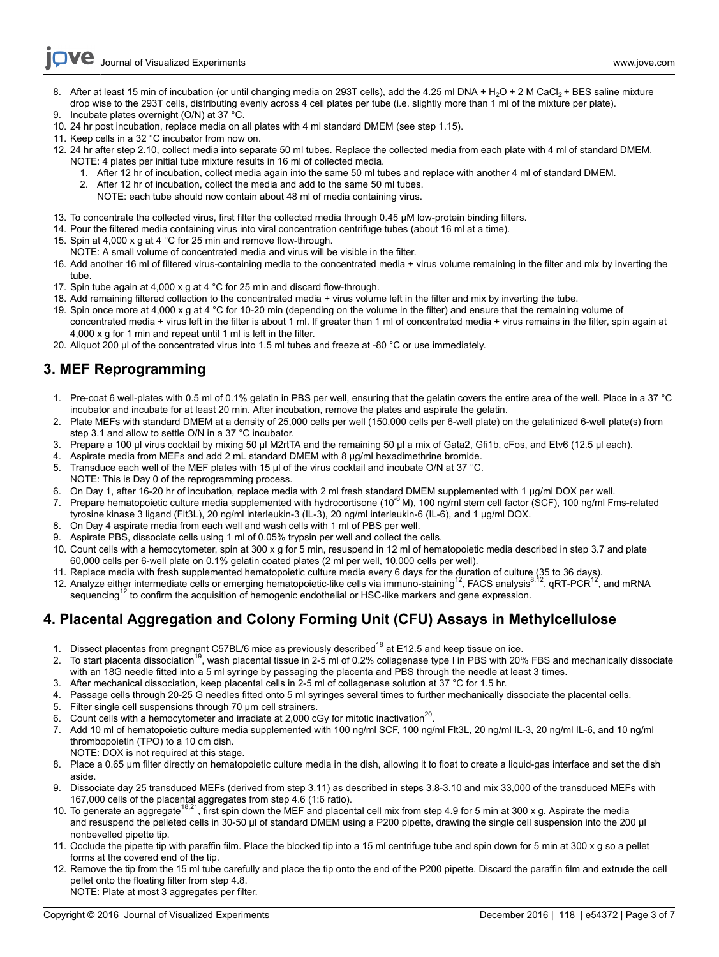- 8. After at least 15 min of incubation (or until changing media on 293T cells), add the 4.25 ml DNA + H<sub>2</sub>O + 2 M CaCl<sub>2</sub> + BES saline mixture drop wise to the 293T cells, distributing evenly across 4 cell plates per tube (i.e. slightly more than 1 ml of the mixture per plate). 9. Incubate plates overnight (O/N) at 37 °C.
- 10. 24 hr post incubation, replace media on all plates with 4 ml standard DMEM (see step 1.15).
- 11. Keep cells in a 32 °C incubator from now on.
- 12. 24 hr after step 2.10, collect media into separate 50 ml tubes. Replace the collected media from each plate with 4 ml of standard DMEM.
- NOTE: 4 plates per initial tube mixture results in 16 ml of collected media.
	- 1. After 12 hr of incubation, collect media again into the same 50 ml tubes and replace with another 4 ml of standard DMEM.
		- 2. After 12 hr of incubation, collect the media and add to the same 50 ml tubes.
		- NOTE: each tube should now contain about 48 ml of media containing virus.
- 13. To concentrate the collected virus, first filter the collected media through 0.45 µM low-protein binding filters.
- 14. Pour the filtered media containing virus into viral concentration centrifuge tubes (about 16 ml at a time).
- 15. Spin at 4,000 x g at 4 °C for 25 min and remove flow-through.
- NOTE: A small volume of concentrated media and virus will be visible in the filter.
- 16. Add another 16 ml of filtered virus-containing media to the concentrated media + virus volume remaining in the filter and mix by inverting the tube.
- 17. Spin tube again at 4,000 x g at 4 °C for 25 min and discard flow-through.
- 18. Add remaining filtered collection to the concentrated media + virus volume left in the filter and mix by inverting the tube.
- 19. Spin once more at 4,000 x g at 4 °C for 10-20 min (depending on the volume in the filter) and ensure that the remaining volume of concentrated media + virus left in the filter is about 1 ml. If greater than 1 ml of concentrated media + virus remains in the filter, spin again at 4,000 x g for 1 min and repeat until 1 ml is left in the filter.
- 20. Aliquot 200 µl of the concentrated virus into 1.5 ml tubes and freeze at -80 °C or use immediately.

# **3. MEF Reprogramming**

- 1. Pre-coat 6 well-plates with 0.5 ml of 0.1% gelatin in PBS per well, ensuring that the gelatin covers the entire area of the well. Place in a 37 °C incubator and incubate for at least 20 min. After incubation, remove the plates and aspirate the gelatin.
- 2. Plate MEFs with standard DMEM at a density of 25,000 cells per well (150,000 cells per 6-well plate) on the gelatinized 6-well plate(s) from step 3.1 and allow to settle O/N in a 37 °C incubator.
- 3. Prepare a 100 µl virus cocktail by mixing 50 µl M2rtTA and the remaining 50 µl a mix of Gata2, Gfi1b, cFos, and Etv6 (12.5 µl each).
- 4. Aspirate media from MEFs and add 2 mL standard DMEM with 8 µg/ml hexadimethrine bromide.
- 5. Transduce each well of the MEF plates with 15 µl of the virus cocktail and incubate O/N at 37 °C.
- NOTE: This is Day 0 of the reprogramming process.
- 6. On Day 1, after 16-20 hr of incubation, replace media with 2 ml fresh standard DMEM supplemented with 1 µg/ml DOX per well.
- 7. Prepare hematopoietic culture media supplemented with hydrocortisone (10<sup>-6</sup> M), 100 ng/ml stem cell factor (SCF), 100 ng/ml Fms-related tyrosine kinase 3 ligand (Flt3L), 20 ng/ml interleukin-3 (IL-3), 20 ng/ml interleukin-6 (IL-6), and 1 µg/ml DOX.
- 8. On Day 4 aspirate media from each well and wash cells with 1 ml of PBS per well.
- 9. Aspirate PBS, dissociate cells using 1 ml of 0.05% trypsin per well and collect the cells.
- 10. Count cells with a hemocytometer, spin at 300 x g for 5 min, resuspend in 12 ml of hematopoietic media described in step 3.7 and plate 60,000 cells per 6-well plate on 0.1% gelatin coated plates (2 ml per well, 10,000 cells per well).
- 11. Replace media with fresh supplemented hematopoietic culture media every 6 days for the duration of culture (35 to 36 days).
- 12. Analyze either intermediate cells or emerging hematopoietic-like cells via immuno-staining<sup>12</sup>, FACS analysis<sup>8,12</sup>, qRT-PCR<sup>12</sup>, and mRNA sequencing<sup>12</sup> to confirm the acquisition of hemogenic endothelial or HSC-like markers and gene expression.

# **4. Placental Aggregation and Colony Forming Unit (CFU) Assays in Methylcellulose**

- 1. Dissect placentas from pregnant C57BL/6 mice as previously described<sup>18</sup> at E12.5 and keep tissue on ice.
- 2. To start placenta dissociation<sup>19</sup>, wash placental tissue in 2-5 ml of 0.2% collagenase type I in PBS with 20% FBS and mechanically dissociate with an 18G needle fitted into a 5 ml syringe by passaging the placenta and PBS through the needle at least 3 times.
- 3. After mechanical dissociation, keep placental cells in 2-5 ml of collagenase solution at 37 °C for 1.5 hr.
- 4. Passage cells through 20-25 G needles fitted onto 5 ml syringes several times to further mechanically dissociate the placental cells.
- 5. Filter single cell suspensions through 70 µm cell strainers.
- 6. Count cells with a hemocytometer and irradiate at 2,000 cGy for mitotic inactivation<sup>20</sup>.
- 7. Add 10 ml of hematopoietic culture media supplemented with 100 ng/ml SCF, 100 ng/ml Flt3L, 20 ng/ml IL-3, 20 ng/ml IL-6, and 10 ng/ml thrombopoietin (TPO) to a 10 cm dish. NOTE: DOX is not required at this stage.
- 8. Place a 0.65 µm filter directly on hematopoietic culture media in the dish, allowing it to float to create a liquid-gas interface and set the dish aside.
- 9. Dissociate day 25 transduced MEFs (derived from step 3.11) as described in steps 3.8-3.10 and mix 33,000 of the transduced MEFs with 167,000 cells of the placental aggregates from step 4.6 (1:6 ratio).
- 10. To generate an aggregate<sup>18,21</sup>, first spin down the MEF and placental cell mix from step 4.9 for 5 min at 300 x g. Aspirate the media and resuspend the pelleted cells in 30-50 µl of standard DMEM using a P200 pipette, drawing the single cell suspension into the 200 µl nonbevelled pipette tip.
- 11. Occlude the pipette tip with paraffin film. Place the blocked tip into a 15 ml centrifuge tube and spin down for 5 min at 300 x g so a pellet forms at the covered end of the tip.
- 12. Remove the tip from the 15 ml tube carefully and place the tip onto the end of the P200 pipette. Discard the paraffin film and extrude the cell pellet onto the floating filter from step 4.8. NOTE: Plate at most 3 aggregates per filter.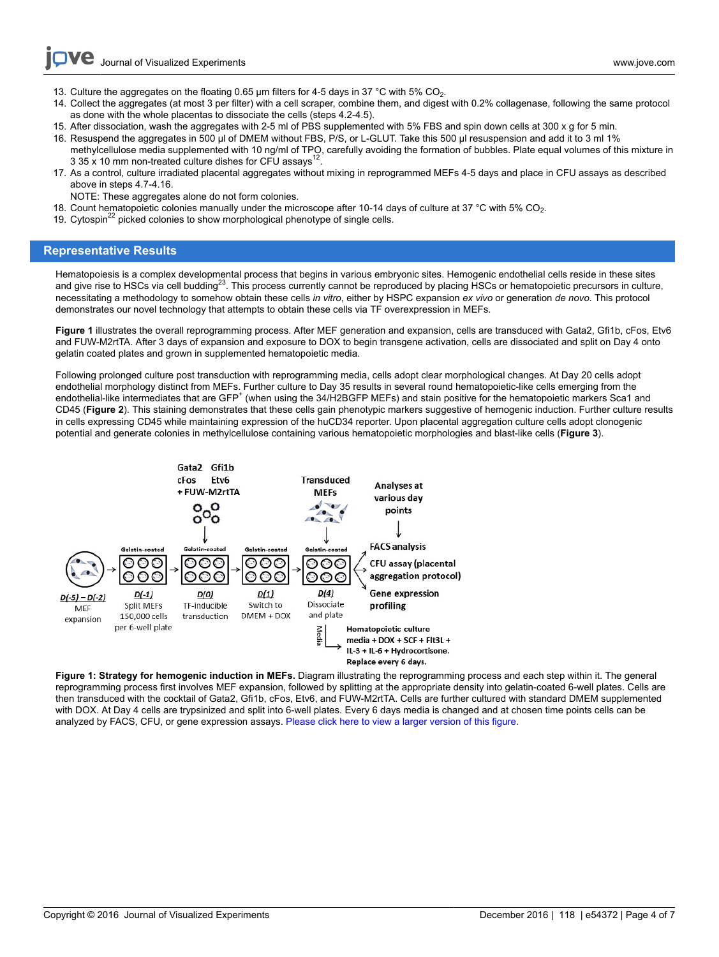Journal of Visualized [Experiments](http://www.jove.com) [www.jove.com](http://www.jove.com)

- 13. Culture the aggregates on the floating 0.65 µm filters for 4-5 days in 37 °C with 5% CO<sub>2</sub>.
- 14. Collect the aggregates (at most 3 per filter) with a cell scraper, combine them, and digest with 0.2% collagenase, following the same protocol as done with the whole placentas to dissociate the cells (steps 4.2-4.5).
- 15. After dissociation, wash the aggregates with 2-5 ml of PBS supplemented with 5% FBS and spin down cells at 300 x g for 5 min.
- 16. Resuspend the aggregates in 500 µl of DMEM without FBS, P/S, or L-GLUT. Take this 500 µl resuspension and add it to 3 ml 1% methylcellulose media supplemented with 10 ng/ml of TPO, carefully avoiding the formation of bubbles. Plate equal volumes of this mixture in 3 35 x 10 mm non-treated culture dishes for CFU assays<sup>1</sup> .
- 17. As a control, culture irradiated placental aggregates without mixing in reprogrammed MEFs 4-5 days and place in CFU assays as described above in steps 4.7-4.16.
- NOTE: These aggregates alone do not form colonies.
- 18. Count hematopoietic colonies manually under the microscope after 10-14 days of culture at 37 °C with 5% CO<sub>2</sub>.
- 19. Cytospin<sup>22</sup> picked colonies to show morphological phenotype of single cells.

### **Representative Results**

Hematopoiesis is a complex developmental process that begins in various embryonic sites. Hemogenic endothelial cells reside in these sites and give rise to HSCs via cell budding<sup>23</sup>. This process currently cannot be reproduced by placing HSCs or hematopoietic precursors in culture, necessitating a methodology to somehow obtain these cells *in vitro*, either by HSPC expansion *ex vivo* or generation *de novo*. This protocol demonstrates our novel technology that attempts to obtain these cells via TF overexpression in MEFs.

**Figure 1** illustrates the overall reprogramming process. After MEF generation and expansion, cells are transduced with Gata2, Gfi1b, cFos, Etv6 and FUW-M2rtTA. After 3 days of expansion and exposure to DOX to begin transgene activation, cells are dissociated and split on Day 4 onto gelatin coated plates and grown in supplemented hematopoietic media.

Following prolonged culture post transduction with reprogramming media, cells adopt clear morphological changes. At Day 20 cells adopt endothelial morphology distinct from MEFs. Further culture to Day 35 results in several round hematopoietic-like cells emerging from the endothelial-like intermediates that are GFP<sup>+</sup> (when using the 34/H2BGFP MEFs) and stain positive for the hematopoietic markers Sca1 and CD45 (**Figure 2**). This staining demonstrates that these cells gain phenotypic markers suggestive of hemogenic induction. Further culture results in cells expressing CD45 while maintaining expression of the huCD34 reporter. Upon placental aggregation culture cells adopt clonogenic potential and generate colonies in methylcellulose containing various hematopoietic morphologies and blast-like cells (**Figure 3**).



**Figure 1: Strategy for hemogenic induction in MEFs.** Diagram illustrating the reprogramming process and each step within it. The general reprogramming process first involves MEF expansion, followed by splitting at the appropriate density into gelatin-coated 6-well plates. Cells are then transduced with the cocktail of Gata2, Gfi1b, cFos, Etv6, and FUW-M2rtTA. Cells are further cultured with standard DMEM supplemented with DOX. At Day 4 cells are trypsinized and split into 6-well plates. Every 6 days media is changed and at chosen time points cells can be analyzed by FACS, CFU, or gene expression assays. [Please click here to view a larger version of this figure.](http://ecsource.jove.com/files/ftp_upload/54372/54372fig1large.jpg)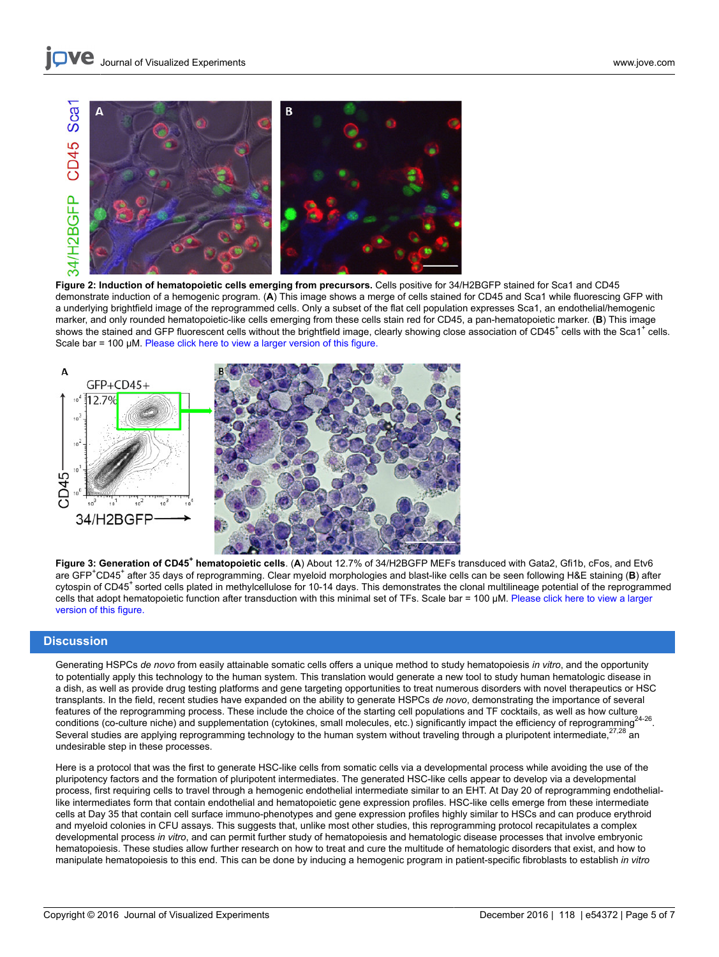

**Figure 2: Induction of hematopoietic cells emerging from precursors.** Cells positive for 34/H2BGFP stained for Sca1 and CD45 demonstrate induction of a hemogenic program. (**A**) This image shows a merge of cells stained for CD45 and Sca1 while fluorescing GFP with a underlying brightfield image of the reprogrammed cells. Only a subset of the flat cell population expresses Sca1, an endothelial/hemogenic marker, and only rounded hematopoietic-like cells emerging from these cells stain red for CD45, a pan-hematopoietic marker. (**B**) This image shows the stained and GFP fluorescent cells without the brightfield image, clearly showing close association of CD45<sup>+</sup> cells with the Sca1<sup>+</sup> cells. Scale bar = 100 µM. [Please click here to view a larger version of this figure.](http://ecsource.jove.com/files/ftp_upload/54372/54372fig2large.jpg)



**Figure 3: Generation of CD45<sup>+</sup> hematopoietic cells**. (**A**) About 12.7% of 34/H2BGFP MEFs transduced with Gata2, Gfi1b, cFos, and Etv6 are GFP<sup>+</sup>CD45<sup>+</sup> after 35 days of reprogramming. Clear myeloid morphologies and blast-like cells can be seen following H&E staining (B) after cytospin of CD45<sup>+</sup> sorted cells plated in methylcellulose for 10-14 days. This demonstrates the clonal multilineage potential of the reprogrammed cells that adopt hematopoietic function after transduction with this minimal set of TFs. Scale bar = 100 µM. [Please click here to view a larger](http://ecsource.jove.com/files/ftp_upload/54372/54372fig3large.jpg) [version of this figure.](http://ecsource.jove.com/files/ftp_upload/54372/54372fig3large.jpg)

### **Discussion**

Generating HSPCs *de novo* from easily attainable somatic cells offers a unique method to study hematopoiesis *in vitro*, and the opportunity to potentially apply this technology to the human system. This translation would generate a new tool to study human hematologic disease in a dish, as well as provide drug testing platforms and gene targeting opportunities to treat numerous disorders with novel therapeutics or HSC transplants. In the field, recent studies have expanded on the ability to generate HSPCs *de novo*, demonstrating the importance of several features of the reprogramming process. These include the choice of the starting cell populations and TF cocktails, as well as how culture conditions (co-culture niche) and supplementation (cytokines, small molecules, etc.) significantly impact the efficiency of reprogramming<sup>24</sup><br>Several studies are applying reprogramming technology to the human system withou 24-26 . Several studies are applying reprogramming technology to the human system without traveling through a pluripotent intermediate,<sup>2</sup> undesirable step in these processes.

Here is a protocol that was the first to generate HSC-like cells from somatic cells via a developmental process while avoiding the use of the pluripotency factors and the formation of pluripotent intermediates. The generated HSC-like cells appear to develop via a developmental process, first requiring cells to travel through a hemogenic endothelial intermediate similar to an EHT. At Day 20 of reprogramming endotheliallike intermediates form that contain endothelial and hematopoietic gene expression profiles. HSC-like cells emerge from these intermediate cells at Day 35 that contain cell surface immuno-phenotypes and gene expression profiles highly similar to HSCs and can produce erythroid and myeloid colonies in CFU assays. This suggests that, unlike most other studies, this reprogramming protocol recapitulates a complex developmental process *in vitro*, and can permit further study of hematopoiesis and hematologic disease processes that involve embryonic hematopoiesis. These studies allow further research on how to treat and cure the multitude of hematologic disorders that exist, and how to manipulate hematopoiesis to this end. This can be done by inducing a hemogenic program in patient-specific fibroblasts to establish *in vitro*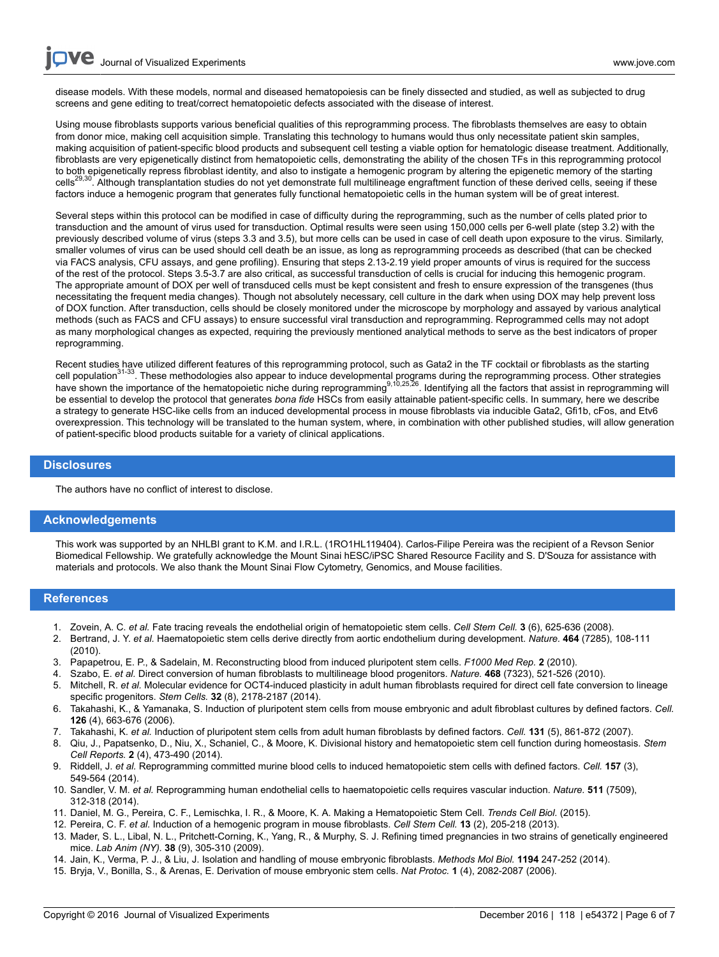disease models. With these models, normal and diseased hematopoiesis can be finely dissected and studied, as well as subjected to drug screens and gene editing to treat/correct hematopoietic defects associated with the disease of interest.

Using mouse fibroblasts supports various beneficial qualities of this reprogramming process. The fibroblasts themselves are easy to obtain from donor mice, making cell acquisition simple. Translating this technology to humans would thus only necessitate patient skin samples, making acquisition of patient-specific blood products and subsequent cell testing a viable option for hematologic disease treatment. Additionally, fibroblasts are very epigenetically distinct from hematopoietic cells, demonstrating the ability of the chosen TFs in this reprogramming protocol to both epigenetically repress fibroblast identity, and also to instigate a hemogenic program by altering the epigenetic memory of the starting cells<sup>29,30</sup>. Although transplantation studies do not yet demonstrate full multilineage engraftment function of these derived cells, seeing if these factors induce a hemogenic program that generates fully functional hematopoietic cells in the human system will be of great interest.

Several steps within this protocol can be modified in case of difficulty during the reprogramming, such as the number of cells plated prior to transduction and the amount of virus used for transduction. Optimal results were seen using 150,000 cells per 6-well plate (step 3.2) with the previously described volume of virus (steps 3.3 and 3.5), but more cells can be used in case of cell death upon exposure to the virus. Similarly, smaller volumes of virus can be used should cell death be an issue, as long as reprogramming proceeds as described (that can be checked via FACS analysis, CFU assays, and gene profiling). Ensuring that steps 2.13-2.19 yield proper amounts of virus is required for the success of the rest of the protocol. Steps 3.5-3.7 are also critical, as successful transduction of cells is crucial for inducing this hemogenic program. The appropriate amount of DOX per well of transduced cells must be kept consistent and fresh to ensure expression of the transgenes (thus necessitating the frequent media changes). Though not absolutely necessary, cell culture in the dark when using DOX may help prevent loss of DOX function. After transduction, cells should be closely monitored under the microscope by morphology and assayed by various analytical methods (such as FACS and CFU assays) to ensure successful viral transduction and reprogramming. Reprogrammed cells may not adopt as many morphological changes as expected, requiring the previously mentioned analytical methods to serve as the best indicators of proper reprogramming.

Recent studies have utilized different features of this reprogramming protocol, such as Gata2 in the TF cocktail or fibroblasts as the starting<br>cell population<sup>31-33</sup>. These methodologies also appear to induce developmenta have shown the importance of the hematopoietic niche during reprogramming<sup>9,10,25,26</sup>. Identifying all the factors that assist in reprogramming will be essential to develop the protocol that generates *bona fide* HSCs from easily attainable patient-specific cells. In summary, here we describe a strategy to generate HSC-like cells from an induced developmental process in mouse fibroblasts via inducible Gata2, Gfi1b, cFos, and Etv6 overexpression. This technology will be translated to the human system, where, in combination with other published studies, will allow generation of patient-specific blood products suitable for a variety of clinical applications.

#### **Disclosures**

The authors have no conflict of interest to disclose.

### **Acknowledgements**

This work was supported by an NHLBI grant to K.M. and I.R.L. (1RO1HL119404). Carlos-Filipe Pereira was the recipient of a Revson Senior Biomedical Fellowship. We gratefully acknowledge the Mount Sinai hESC/iPSC Shared Resource Facility and S. D'Souza for assistance with materials and protocols. We also thank the Mount Sinai Flow Cytometry, Genomics, and Mouse facilities.

#### **References**

- 1. Zovein, A. C. *et al.* Fate tracing reveals the endothelial origin of hematopoietic stem cells. *Cell Stem Cell.* **3** (6), 625-636 (2008).
- 2. Bertrand, J. Y. *et al.* Haematopoietic stem cells derive directly from aortic endothelium during development. *Nature.* **464** (7285), 108-111 (2010).
- 3. Papapetrou, E. P., & Sadelain, M. Reconstructing blood from induced pluripotent stem cells. *F1000 Med Rep.* **2** (2010).
- 4. Szabo, E. *et al.* Direct conversion of human fibroblasts to multilineage blood progenitors. *Nature.* **468** (7323), 521-526 (2010).
- 5. Mitchell, R. *et al.* Molecular evidence for OCT4-induced plasticity in adult human fibroblasts required for direct cell fate conversion to lineage specific progenitors. *Stem Cells.* **32** (8), 2178-2187 (2014).
- 6. Takahashi, K., & Yamanaka, S. Induction of pluripotent stem cells from mouse embryonic and adult fibroblast cultures by defined factors. *Cell.* **126** (4), 663-676 (2006).
- 7. Takahashi, K. *et al.* Induction of pluripotent stem cells from adult human fibroblasts by defined factors. *Cell.* **131** (5), 861-872 (2007).
- 8. Qiu, J., Papatsenko, D., Niu, X., Schaniel, C., & Moore, K. Divisional history and hematopoietic stem cell function during homeostasis. *Stem Cell Reports.* **2** (4), 473-490 (2014).
- 9. Riddell, J. *et al.* Reprogramming committed murine blood cells to induced hematopoietic stem cells with defined factors. *Cell.* **157** (3), 549-564 (2014).
- 10. Sandler, V. M. *et al.* Reprogramming human endothelial cells to haematopoietic cells requires vascular induction. *Nature.* **511** (7509), 312-318 (2014).
- 11. Daniel, M. G., Pereira, C. F., Lemischka, I. R., & Moore, K. A. Making a Hematopoietic Stem Cell. *Trends Cell Biol.* (2015).
- 12. Pereira, C. F. *et al.* Induction of a hemogenic program in mouse fibroblasts. *Cell Stem Cell.* **13** (2), 205-218 (2013).
- 13. Mader, S. L., Libal, N. L., Pritchett-Corning, K., Yang, R., & Murphy, S. J. Refining timed pregnancies in two strains of genetically engineered mice. *Lab Anim (NY).* **38** (9), 305-310 (2009).
- 14. Jain, K., Verma, P. J., & Liu, J. Isolation and handling of mouse embryonic fibroblasts. *Methods Mol Biol.* **1194** 247-252 (2014).
- 15. Bryja, V., Bonilla, S., & Arenas, E. Derivation of mouse embryonic stem cells. *Nat Protoc.* **1** (4), 2082-2087 (2006).